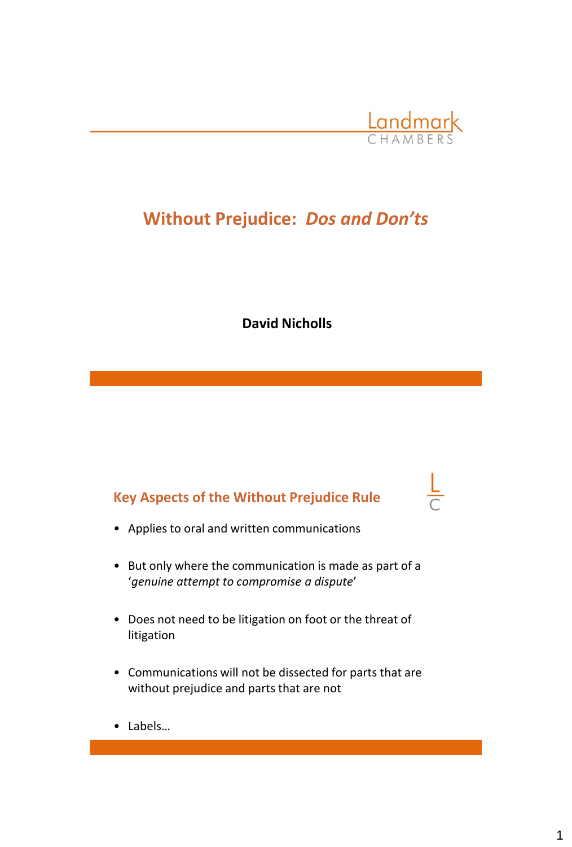

# **Without Prejudice:** *Dos and Don'ts*

**David Nicholls**

# **Key Aspects of the Without Prejudice Rule**

- Applies to oral and written communications
- But only where the communication is made as part of a '*genuine attempt to compromise a dispute*'
- Does not need to be litigation on foot or the threat of litigation
- Communications will not be dissected for parts that are without prejudice and parts that are not
- Labels…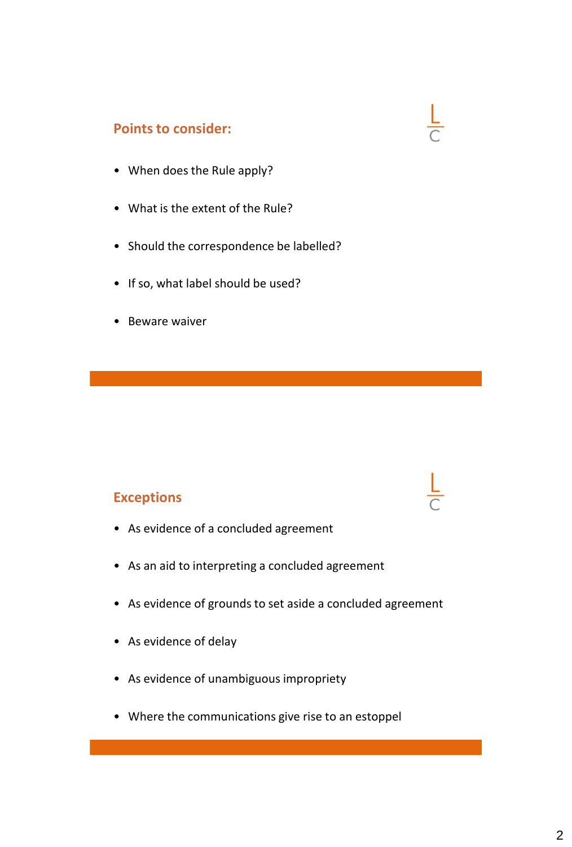## **Points to consider:**

- When does the Rule apply?
- What is the extent of the Rule?
- Should the correspondence be labelled?

 $\frac{L}{C}$ 

- If so, what label should be used?
- Beware waiver

#### **Exceptions**

- As evidence of a concluded agreement
- As an aid to interpreting a concluded agreement
- As evidence of grounds to set aside a concluded agreement
- As evidence of delay
- As evidence of unambiguous impropriety
- Where the communications give rise to an estoppel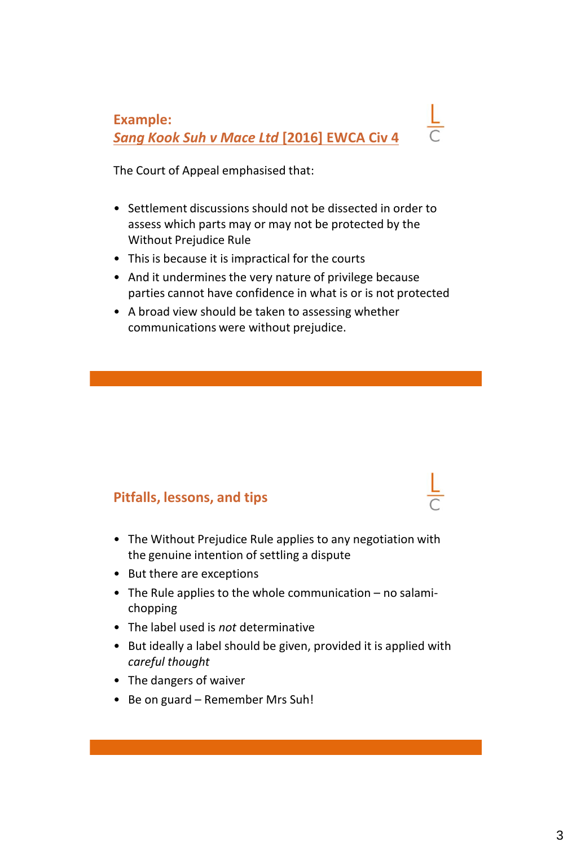**Example:** *Sang Kook Suh v Mace Ltd* **[2016] EWCA Civ 4**

The Court of Appeal emphasised that:

- Settlement discussions should not be dissected in order to assess which parts may or may not be protected by the Without Prejudice Rule
- This is because it is impractical for the courts
- And it undermines the very nature of privilege because parties cannot have confidence in what is or is not protected
- A broad view should be taken to assessing whether communications were without prejudice.

### **Pitfalls, lessons, and tips**

- The Without Prejudice Rule applies to any negotiation with the genuine intention of settling a dispute
- But there are exceptions
- The Rule applies to the whole communication no salamichopping
- The label used is *not* determinative
- But ideally a label should be given, provided it is applied with *careful thought*
- The dangers of waiver
- Be on guard Remember Mrs Suh!